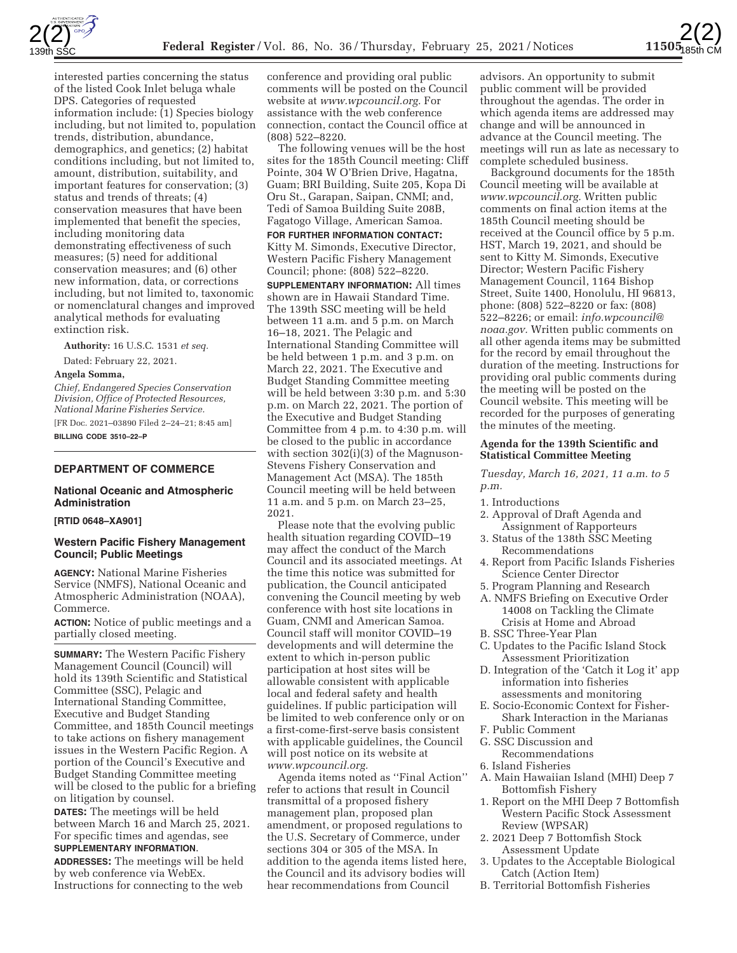

interested parties concerning the status of the listed Cook Inlet beluga whale DPS. Categories of requested information include: (1) Species biology including, but not limited to, population trends, distribution, abundance, demographics, and genetics; (2) habitat conditions including, but not limited to, amount, distribution, suitability, and important features for conservation; (3) status and trends of threats; (4) conservation measures that have been implemented that benefit the species, including monitoring data demonstrating effectiveness of such measures; (5) need for additional conservation measures; and (6) other new information, data, or corrections including, but not limited to, taxonomic or nomenclatural changes and improved analytical methods for evaluating extinction risk.

**Authority:** 16 U.S.C. 1531 *et seq.* 

Dated: February 22, 2021.

### **Angela Somma,**

*Chief, Endangered Species Conservation Division, Office of Protected Resources, National Marine Fisheries Service.* 

[FR Doc. 2021–03890 Filed 2–24–21; 8:45 am] **BILLING CODE 3510–22–P** 

## **DEPARTMENT OF COMMERCE**

### **National Oceanic and Atmospheric Administration**

# **[RTID 0648–XA901]**

# **Western Pacific Fishery Management Council; Public Meetings**

**AGENCY:** National Marine Fisheries Service (NMFS), National Oceanic and Atmospheric Administration (NOAA), Commerce.

**ACTION:** Notice of public meetings and a partially closed meeting.

**SUMMARY:** The Western Pacific Fishery Management Council (Council) will hold its 139th Scientific and Statistical Committee (SSC), Pelagic and International Standing Committee, Executive and Budget Standing Committee, and 185th Council meetings to take actions on fishery management issues in the Western Pacific Region. A portion of the Council's Executive and Budget Standing Committee meeting will be closed to the public for a briefing on litigation by counsel.

**DATES:** The meetings will be held between March 16 and March 25, 2021. For specific times and agendas, see **SUPPLEMENTARY INFORMATION**.

**ADDRESSES:** The meetings will be held by web conference via WebEx. Instructions for connecting to the web

conference and providing oral public comments will be posted on the Council website at *www.wpcouncil.org.* For assistance with the web conference connection, contact the Council office at (808) 522–8220.

The following venues will be the host sites for the 185th Council meeting: Cliff Pointe, 304 W O'Brien Drive, Hagatna, Guam; BRI Building, Suite 205, Kopa Di Oru St., Garapan, Saipan, CNMI; and, Tedi of Samoa Building Suite 208B, Fagatogo Village, American Samoa.

## **FOR FURTHER INFORMATION CONTACT:**

Kitty M. Simonds, Executive Director, Western Pacific Fishery Management Council; phone: (808) 522–8220.

**SUPPLEMENTARY INFORMATION:** All times shown are in Hawaii Standard Time. The 139th SSC meeting will be held between 11 a.m. and 5 p.m. on March 16–18, 2021. The Pelagic and International Standing Committee will be held between 1 p.m. and 3 p.m. on March 22, 2021. The Executive and Budget Standing Committee meeting will be held between 3:30 p.m. and 5:30 p.m. on March 22, 2021. The portion of the Executive and Budget Standing Committee from 4 p.m. to 4:30 p.m. will be closed to the public in accordance with section 302(i)(3) of the Magnuson-Stevens Fishery Conservation and Management Act (MSA). The 185th Council meeting will be held between 11 a.m. and 5 p.m. on March 23–25, 2021.

Please note that the evolving public health situation regarding COVID–19 may affect the conduct of the March Council and its associated meetings. At the time this notice was submitted for publication, the Council anticipated convening the Council meeting by web conference with host site locations in Guam, CNMI and American Samoa. Council staff will monitor COVID–19 developments and will determine the extent to which in-person public participation at host sites will be allowable consistent with applicable local and federal safety and health guidelines. If public participation will be limited to web conference only or on a first-come-first-serve basis consistent with applicable guidelines, the Council will post notice on its website at *www.wpcouncil.org.* 

Agenda items noted as ''Final Action'' refer to actions that result in Council transmittal of a proposed fishery management plan, proposed plan amendment, or proposed regulations to the U.S. Secretary of Commerce, under sections 304 or 305 of the MSA. In addition to the agenda items listed here, the Council and its advisory bodies will hear recommendations from Council

advisors. An opportunity to submit public comment will be provided throughout the agendas. The order in which agenda items are addressed may change and will be announced in advance at the Council meeting. The meetings will run as late as necessary to complete scheduled business.

2(2)

Background documents for the 185th Council meeting will be available at *www.wpcouncil.org.* Written public comments on final action items at the 185th Council meeting should be received at the Council office by 5 p.m. HST, March 19, 2021, and should be sent to Kitty M. Simonds, Executive Director; Western Pacific Fishery Management Council, 1164 Bishop Street, Suite 1400, Honolulu, HI 96813, phone: (808) 522–8220 or fax: (808) 522–8226; or email: *info.wpcouncil@ noaa.gov.* Written public comments on all other agenda items may be submitted for the record by email throughout the duration of the meeting. Instructions for providing oral public comments during the meeting will be posted on the Council website. This meeting will be recorded for the purposes of generating the minutes of the meeting.

### **Agenda for the 139th Scientific and Statistical Committee Meeting**

#### *Tuesday, March 16, 2021, 11 a.m. to 5 p.m.*

- 1. Introductions
- 2. Approval of Draft Agenda and Assignment of Rapporteurs
- 3. Status of the 138th SSC Meeting Recommendations
- 4. Report from Pacific Islands Fisheries Science Center Director
- 5. Program Planning and Research
- A. NMFS Briefing on Executive Order 14008 on Tackling the Climate Crisis at Home and Abroad
- B. SSC Three-Year Plan
- C. Updates to the Pacific Island Stock Assessment Prioritization
- D. Integration of the 'Catch it Log it' app information into fisheries assessments and monitoring
- E. Socio-Economic Context for Fisher-Shark Interaction in the Marianas
- F. Public Comment
- G. SSC Discussion and
- Recommendations
- 6. Island Fisheries
- A. Main Hawaiian Island (MHI) Deep 7 Bottomfish Fishery
- 1. Report on the MHI Deep 7 Bottomfish Western Pacific Stock Assessment Review (WPSAR)
- 2. 2021 Deep 7 Bottomfish Stock Assessment Update
- 3. Updates to the Acceptable Biological Catch (Action Item)
- B. Territorial Bottomfish Fisheries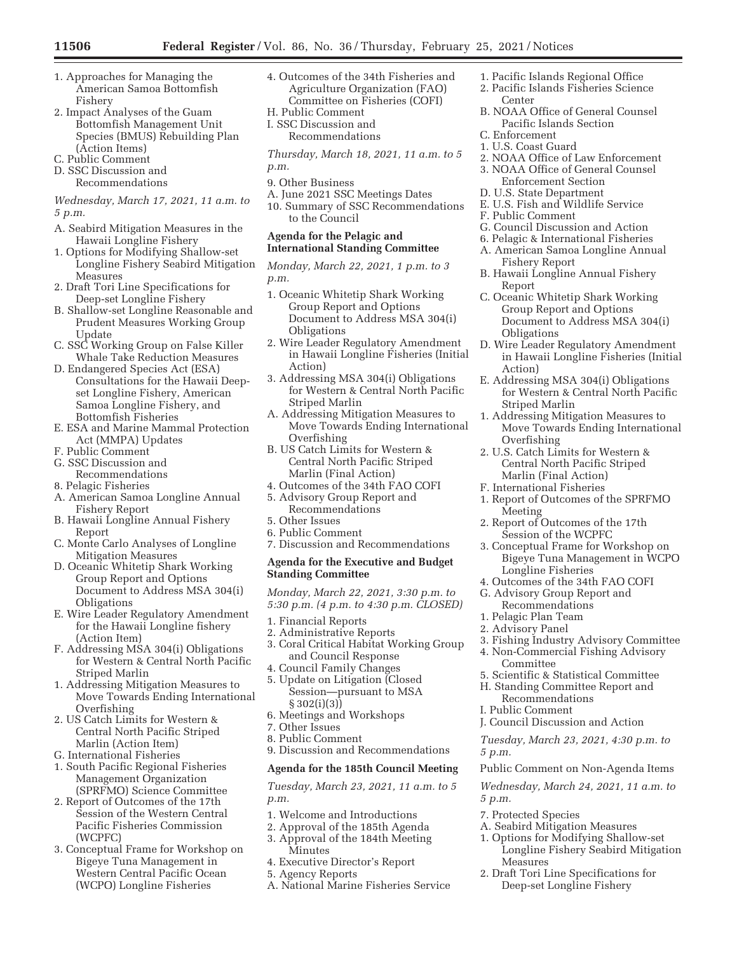- 1. Approaches for Managing the American Samoa Bottomfish Fishery
- 2. Impact Analyses of the Guam Bottomfish Management Unit Species (BMUS) Rebuilding Plan (Action Items)
- C. Public Comment
- D. SSC Discussion and Recommendations
- *Wednesday, March 17, 2021, 11 a.m. to 5 p.m.*
- A. Seabird Mitigation Measures in the Hawaii Longline Fishery
- 1. Options for Modifying Shallow-set Longline Fishery Seabird Mitigation Measures
- 2. Draft Tori Line Specifications for Deep-set Longline Fishery
- B. Shallow-set Longline Reasonable and Prudent Measures Working Group Update
- C. SSC Working Group on False Killer Whale Take Reduction Measures
- D. Endangered Species Act (ESA) Consultations for the Hawaii Deepset Longline Fishery, American Samoa Longline Fishery, and Bottomfish Fisheries
- E. ESA and Marine Mammal Protection Act (MMPA) Updates
- F. Public Comment
- G. SSC Discussion and
- Recommendations
- 8. Pelagic Fisheries
- A. American Samoa Longline Annual Fishery Report
- B. Hawaii Longline Annual Fishery Report
- C. Monte Carlo Analyses of Longline Mitigation Measures
- D. Oceanic Whitetip Shark Working Group Report and Options Document to Address MSA 304(i) Obligations
- E. Wire Leader Regulatory Amendment for the Hawaii Longline fishery (Action Item)
- F. Addressing MSA 304(i) Obligations for Western & Central North Pacific Striped Marlin
- 1. Addressing Mitigation Measures to Move Towards Ending International Overfishing
- 2. US Catch Limits for Western & Central North Pacific Striped Marlin (Action Item)
- G. International Fisheries
- 1. South Pacific Regional Fisheries Management Organization (SPRFMO) Science Committee
- 2. Report of Outcomes of the 17th Session of the Western Central Pacific Fisheries Commission (WCPFC)
- 3. Conceptual Frame for Workshop on Bigeye Tuna Management in Western Central Pacific Ocean (WCPO) Longline Fisheries
- 4. Outcomes of the 34th Fisheries and Agriculture Organization (FAO) Committee on Fisheries (COFI)
- H. Public Comment
- I. SSC Discussion and Recommendations

*Thursday, March 18, 2021, 11 a.m. to 5 p.m.* 

- 9. Other Business
- A. June 2021 SSC Meetings Dates
- 10. Summary of SSC Recommendations to the Council

## **Agenda for the Pelagic and International Standing Committee**

*Monday, March 22, 2021, 1 p.m. to 3 p.m.* 

- 1. Oceanic Whitetip Shark Working Group Report and Options Document to Address MSA 304(i) **Obligations**
- 2. Wire Leader Regulatory Amendment in Hawaii Longline Fisheries (Initial Action)
- 3. Addressing MSA 304(i) Obligations for Western & Central North Pacific Striped Marlin
- A. Addressing Mitigation Measures to Move Towards Ending International Overfishing
- B. US Catch Limits for Western & Central North Pacific Striped Marlin (Final Action)
- 4. Outcomes of the 34th FAO COFI 5. Advisory Group Report and Recommendations
- 5. Other Issues
- 6. Public Comment
- 7. Discussion and Recommendations

### **Agenda for the Executive and Budget Standing Committee**

*Monday, March 22, 2021, 3:30 p.m. to 5:30 p.m. (4 p.m. to 4:30 p.m. CLOSED)* 

- 1. Financial Reports
- 2. Administrative Reports
- 3. Coral Critical Habitat Working Group and Council Response
- 4. Council Family Changes 5. Update on Litigation (Closed
- Session—pursuant to MSA § 302(i)(3)) 6. Meetings and Workshops
- 7. Other Issues
- 8. Public Comment
- 9. Discussion and Recommendations

#### **Agenda for the 185th Council Meeting**

*Tuesday, March 23, 2021, 11 a.m. to 5 p.m.* 

- 1. Welcome and Introductions
- 2. Approval of the 185th Agenda
- 3. Approval of the 184th Meeting Minutes
- 4. Executive Director's Report
- 5. Agency Reports
- A. National Marine Fisheries Service
- 1. Pacific Islands Regional Office
- 2. Pacific Islands Fisheries Science Center
- B. NOAA Office of General Counsel Pacific Islands Section
- C. Enforcement
- 1. U.S. Coast Guard
- 2. NOAA Office of Law Enforcement
- 3. NOAA Office of General Counsel Enforcement Section
- D. U.S. State Department
- E. U.S. Fish and Wildlife Service
- F. Public Comment
- G. Council Discussion and Action
- 6. Pelagic & International Fisheries
- A. American Samoa Longline Annual Fishery Report
- B. Hawaii Longline Annual Fishery Report
- C. Oceanic Whitetip Shark Working Group Report and Options Document to Address MSA 304(i) **Obligations**
- D. Wire Leader Regulatory Amendment in Hawaii Longline Fisheries (Initial Action)
- E. Addressing MSA 304(i) Obligations for Western & Central North Pacific Striped Marlin
- 1. Addressing Mitigation Measures to Move Towards Ending International Overfishing
- 2. U.S. Catch Limits for Western & Central North Pacific Striped Marlin (Final Action)
- F. International Fisheries
- 1. Report of Outcomes of the SPRFMO Meeting
- 2. Report of Outcomes of the 17th Session of the WCPFC
- 3. Conceptual Frame for Workshop on Bigeye Tuna Management in WCPO Longline Fisheries
- 4. Outcomes of the 34th FAO COFI
- G. Advisory Group Report and Recommendations
- 1. Pelagic Plan Team
- 2. Advisory Panel

*5 p.m.* 

*5 p.m.* 

- 
- 3. Fishing Industry Advisory Committee 4. Non-Commercial Fishing Advisory Committee
- 5. Scientific & Statistical Committee
- H. Standing Committee Report and
- Recommendations

7. Protected Species

Measures

- I. Public Comment
- J. Council Discussion and Action

A. Seabird Mitigation Measures 1. Options for Modifying Shallow-set Longline Fishery Seabird Mitigation

2. Draft Tori Line Specifications for Deep-set Longline Fishery

*Tuesday, March 23, 2021, 4:30 p.m. to* 

Public Comment on Non-Agenda Items *Wednesday, March 24, 2021, 11 a.m. to*